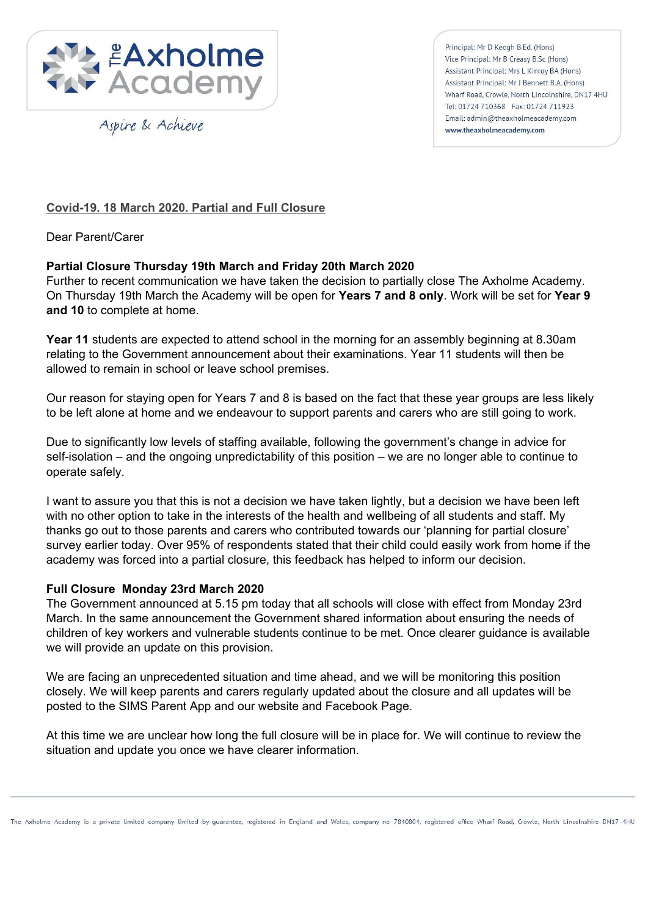

Aspire & Achieve

Principal: Mr D Keogh B.Ed. (Hons) Vice Principal: Mr B Creasy B.Sc (Hons) Assistant Principal: Mrs L Kinroy BA (Hons) Assistant Principal: Mr J Bennett B.A. (Hons) Wharf Road, Crowle, North Lincolnshire, DN17 4HU Tel: 01724 710368 Fax: 01724 711923 Email: admin@theaxholmeacademy.com www.theaxholmeacademy.com

# **Covid-19. 18 March 2020. Partial and Full Closure**

Dear Parent/Carer

## **Partial Closure Thursday 19th March and Friday 20th March 2020**

Further to recent communication we have taken the decision to partially close The Axholme Academy. On Thursday 19th March the Academy will be open for **Years 7 and 8 only**. Work will be set for **Year 9 and 10** to complete at home.

**Year 11** students are expected to attend school in the morning for an assembly beginning at 8.30am relating to the Government announcement about their examinations. Year 11 students will then be allowed to remain in school or leave school premises.

Our reason for staying open for Years 7 and 8 is based on the fact that these year groups are less likely to be left alone at home and we endeavour to support parents and carers who are still going to work.

Due to significantly low levels of staffing available, following the government's change in advice for self-isolation – and the ongoing unpredictability of this position – we are no longer able to continue to operate safely.

I want to assure you that this is not a decision we have taken lightly, but a decision we have been left with no other option to take in the interests of the health and wellbeing of all students and staff. My thanks go out to those parents and carers who contributed towards our 'planning for partial closure' survey earlier today. Over 95% of respondents stated that their child could easily work from home if the academy was forced into a partial closure, this feedback has helped to inform our decision.

#### **Full Closure Monday 23rd March 2020**

The Government announced at 5.15 pm today that all schools will close with effect from Monday 23rd March. In the same announcement the Government shared information about ensuring the needs of children of key workers and vulnerable students continue to be met. Once clearer guidance is available we will provide an update on this provision.

We are facing an unprecedented situation and time ahead, and we will be monitoring this position closely. We will keep parents and carers regularly updated about the closure and all updates will be posted to the SIMS Parent App and our website and Facebook Page.

At this time we are unclear how long the full closure will be in place for. We will continue to review the situation and update you once we have clearer information.